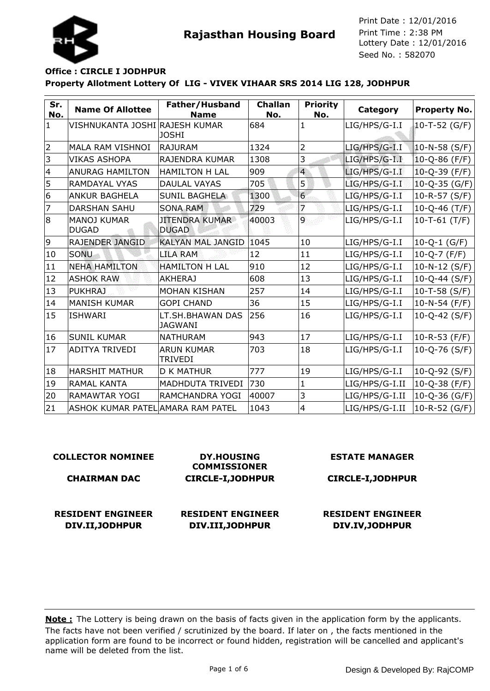



**Rajasthan Housing Board** Print Time : 2:38 PM<br>Lottery Date : 12/01/2016 Seed No. : 582070 Print Date : 12/01/2016 Print Time : 2:38 PM

# **Property Allotment Lottery Of LIG - VIVEK VIHAAR SRS 2014 LIG 128, JODHPUR Office : CIRCLE I JODHPUR**

| Sr.<br>No.              | <b>Name Of Allottee</b>            | Father/Husband<br><b>Name</b>         | <b>Challan</b><br>No. | <b>Priority</b><br>No. | Category        | <b>Property No.</b> |
|-------------------------|------------------------------------|---------------------------------------|-----------------------|------------------------|-----------------|---------------------|
| $\mathbf{1}$            | VISHNUKANTA JOSHI RAJESH KUMAR     | <b>JOSHI</b>                          | 684                   | $\mathbf{1}$           | LIG/HPS/G-I.I   | $10 - T - 52$ (G/F) |
| $\overline{2}$          | MALA RAM VISHNOI                   | <b>RAJURAM</b>                        | 1324                  | $\overline{2}$         | LIG/HPS/G-I.I   | $10 - N - 58$ (S/F) |
| 3                       | <b>VIKAS ASHOPA</b>                | RAJENDRA KUMAR                        | 1308                  | 3                      | LIG/HPS/G-I.I   | $10 - Q - 86$ (F/F) |
| $\overline{\mathbf{4}}$ | <b>ANURAG HAMILTON</b>             | <b>HAMILTON H LAL</b>                 | 909                   | $\overline{4}$         | LIG/HPS/G-I.I   | $10 - Q - 39$ (F/F) |
| 5                       | <b>RAMDAYAL VYAS</b>               | <b>DAULAL VAYAS</b>                   | 705                   | 5                      | LIG/HPS/G-I.I   | $10 - Q - 35$ (G/F) |
| 6                       | <b>ANKUR BAGHELA</b>               | <b>SUNIL BAGHELA</b>                  | 1300                  | $\overline{6}$         | LIG/HPS/G-I.I   | $10-R-57$ (S/F)     |
| $\overline{7}$          | <b>DARSHAN SAHU</b>                | <b>SONA RAM</b>                       | 729                   | 7                      | LIG/HPS/G-I.I   | $10 - Q - 46$ (T/F) |
| 8                       | <b>MANOJ KUMAR</b><br><b>DUGAD</b> | <b>JITENDRA KUMAR</b><br><b>DUGAD</b> | 40003                 | 9                      | LIG/HPS/G-I.I   | $10-T-61$ (T/F)     |
| 9                       | RAJENDER JANGID                    | <b>KALYAN MAL JANGID</b>              | 1045                  | 10                     | $LIG/HPS/G-I.I$ | $10 - Q - 1$ (G/F)  |
| 10                      | SONU                               | <b>LILA RAM</b>                       | 12                    | 11                     | LIG/HPS/G-I.I   | $10 - Q - 7 (F/F)$  |
| 11                      | <b>NEHA HAMILTON</b>               | <b>HAMILTON H LAL</b>                 | 910                   | 12                     | LIG/HPS/G-I.I   | $10 - N - 12$ (S/F) |
| 12                      | <b>ASHOK RAW</b>                   | <b>AKHERAJ</b>                        | 608                   | 13                     | LIG/HPS/G-I.I   | $10 - Q - 44$ (S/F) |
| 13                      | <b>PUKHRAJ</b>                     | <b>MOHAN KISHAN</b>                   | 257                   | 14                     | LIG/HPS/G-I.I   | $10 - T - 58$ (S/F) |
| 14                      | <b>MANISH KUMAR</b>                | <b>GOPI CHAND</b>                     | 36                    | 15                     | LIG/HPS/G-I.I   | 10-N-54 (F/F)       |
| 15                      | <b>ISHWARI</b>                     | LT.SH.BHAWAN DAS<br><b>JAGWANI</b>    | 256                   | 16                     | LIG/HPS/G-I.I   | $10 - Q - 42$ (S/F) |
| 16                      | <b>SUNIL KUMAR</b>                 | <b>NATHURAM</b>                       | 943                   | 17                     | LIG/HPS/G-I.I   | 10-R-53 (F/F)       |
| 17                      | <b>ADITYA TRIVEDI</b>              | <b>ARUN KUMAR</b><br><b>TRIVEDI</b>   | 703                   | 18                     | LIG/HPS/G-I.I   | $10 - Q - 76$ (S/F) |
| 18                      | <b>HARSHIT MATHUR</b>              | <b>D K MATHUR</b>                     | 777                   | 19                     | $LIG/HPS/G-I.I$ | $10 - Q - 92$ (S/F) |
| 19                      | <b>RAMAL KANTA</b>                 | MADHDUTA TRIVEDI                      | 730                   | $\mathbf 1$            | LIG/HPS/G-I.II  | $10 - Q - 38$ (F/F) |
| 20                      | <b>RAMAWTAR YOGI</b>               | RAMCHANDRA YOGI                       | 40007                 | 3                      | LIG/HPS/G-I.II  | 10-Q-36 (G/F)       |
| 21                      | ASHOK KUMAR PATEL AMARA RAM PATEL  |                                       | 1043                  | $\overline{4}$         | LIG/HPS/G-I.II  | 10-R-52 (G/F)       |

#### **COLLECTOR NOMINEE CHAIRMAN DAC DY.HOUSING COMMISSIONER CIRCLE-I,JODHPUR ESTATE MANAGER CIRCLE-I,JODHPUR RESIDENT ENGINEER DIV.II,JODHPUR RESIDENT ENGINEER DIV.III,JODHPUR RESIDENT ENGINEER DIV.IV,JODHPUR**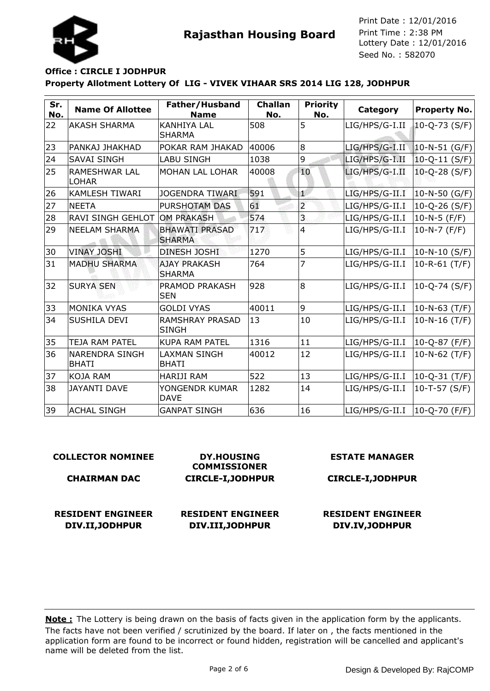



Seed No. : 582070 Print Date : 12/01/2016 Print Time : 2:38 PM

# **Property Allotment Lottery Of LIG - VIVEK VIHAAR SRS 2014 LIG 128, JODHPUR Office : CIRCLE I JODHPUR**

| Sr.<br>No. | <b>Name Of Allottee</b>               | Father/Husband<br><b>Name</b>          | <b>Challan</b><br>No. | <b>Priority</b><br>No. | Category       | Property No.          |
|------------|---------------------------------------|----------------------------------------|-----------------------|------------------------|----------------|-----------------------|
| 22         | <b>AKASH SHARMA</b>                   | <b>KANHIYA LAL</b><br><b>SHARMA</b>    | 508                   | 5                      | LIG/HPS/G-I.II | $10 - Q - 73$ (S/F)   |
| 23         | PANKAJ JHAKHAD                        | POKAR RAM JHAKAD                       | 40006                 | 8                      | LIG/HPS/G-I.II | $10-N-51$ (G/F)       |
| 24         | <b>SAVAI SINGH</b>                    | <b>LABU SINGH</b>                      | 1038                  | 9                      | LIG/HPS/G-I.II | $10 - Q - 11$ (S/F)   |
| 25         | <b>RAMESHWAR LAL</b><br>LOHAR         | MOHAN LAL LOHAR                        | 40008                 | 10                     | LIG/HPS/G-I.II | $10 - Q - 28 (S/F)$   |
| 26         | <b>KAMLESH TIWARI</b>                 | JOGENDRA TIWARI                        | 591                   | ыÓ                     | LIG/HPS/G-II.I | $10-N-50$ (G/F)       |
| 27         | <b>NEETA</b>                          | PURSHOTAM DAS                          | 61                    | $\overline{a}$         | LIG/HPS/G-II.I | $10-Q-26(S/F)$        |
| 28         | <b>RAVI SINGH GEHLOT</b>              | <b>OM PRAKASH</b>                      | 574                   | 3                      | LIG/HPS/G-II.I | 10-N-5 $(F/F)$        |
| 29         | <b>NEELAM SHARMA</b>                  | <b>BHAWATI PRASAD</b><br><b>SHARMA</b> | 717                   | $\overline{4}$         | LIG/HPS/G-II.I | $10-N-7$ (F/F)        |
| 30         | <b>VINAY JOSHI</b>                    | DINESH JOSHI                           | 1270                  | 5                      | LIG/HPS/G-II.I | 10-N-10 (S/F)         |
| 31         | <b>MADHU SHARMA</b>                   | <b>AJAY PRAKASH</b><br><b>SHARMA</b>   | 764                   | 7                      | LIG/HPS/G-II.I | $10 - R - 61$ (T/F)   |
| 32         | <b>SURYA SEN</b>                      | PRAMOD PRAKASH<br><b>SEN</b>           | 928                   | 8                      | LIG/HPS/G-II.I | $10 - Q - 74$ (S/F)   |
| 33         | MONIKA VYAS                           | <b>GOLDI VYAS</b>                      | 40011                 | 9                      | LIG/HPS/G-II.I | $10 - N - 63$ (T/F)   |
| 34         | <b>SUSHILA DEVI</b>                   | <b>RAMSHRAY PRASAD</b><br><b>SINGH</b> | 13                    | 10                     | LIG/HPS/G-II.I | $10 - N - 16$ (T/F)   |
| 35         | <b>TEJA RAM PATEL</b>                 | <b>KUPA RAM PATEL</b>                  | 1316                  | 11                     | LIG/HPS/G-II.I | 10-Q-87 (F/F)         |
| 36         | <b>NARENDRA SINGH</b><br><b>BHATI</b> | LAXMAN SINGH<br><b>BHATI</b>           | 40012                 | 12                     | LIG/HPS/G-II.I | $10 - N - 62$ (T/F)   |
| 37         | KOJA RAM                              | <b>HARIJI RAM</b>                      | 522                   | 13                     | LIG/HPS/G-II.I | $ 10 - Q - 31 (T/F) $ |
| 38         | <b>JAYANTI DAVE</b>                   | YONGENDR KUMAR<br><b>DAVE</b>          | 1282                  | 14                     | LIG/HPS/G-II.I | $10-T-57$ (S/F)       |
| 39         | <b>ACHAL SINGH</b>                    | <b>GANPAT SINGH</b>                    | 636                   | 16                     | LIG/HPS/G-II.I | $10 - Q - 70$ (F/F)   |

#### **COLLECTOR NOMINEE CHAIRMAN DAC DY.HOUSING COMMISSIONER CIRCLE-I,JODHPUR ESTATE MANAGER CIRCLE-I,JODHPUR RESIDENT ENGINEER DIV.II,JODHPUR RESIDENT ENGINEER DIV.III,JODHPUR RESIDENT ENGINEER DIV.IV,JODHPUR**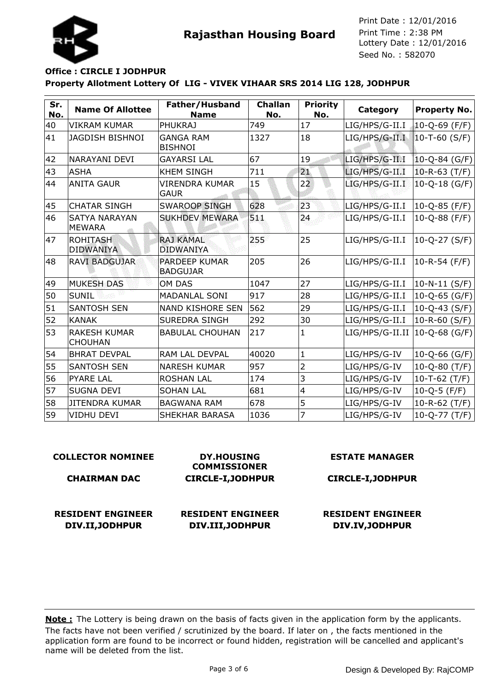



Seed No. : 582070 Print Date : 12/01/2016 Print Time : 2:38 PM

# **Property Allotment Lottery Of LIG - VIVEK VIHAAR SRS 2014 LIG 128, JODHPUR Office : CIRCLE I JODHPUR**

| Sr.<br>No. | <b>Name Of Allottee</b>               | Father/Husband<br><b>Name</b>           | <b>Challan</b><br>No. | <b>Priority</b><br>No.  | Category        | <b>Property No.</b>  |
|------------|---------------------------------------|-----------------------------------------|-----------------------|-------------------------|-----------------|----------------------|
| 40         | <b>VIKRAM KUMAR</b>                   | <b>PHUKRAJ</b>                          | 749                   | 17                      | LIG/HPS/G-II.I  | $10 - Q - 69$ (F/F)  |
| 41         | <b>JAGDISH BISHNOI</b>                | <b>GANGA RAM</b><br><b>BISHNOI</b>      | 1327                  | 18                      | LIG/HPS/G-II.I  | $10-T-60$ (S/F)      |
| 42         | NARAYANI DEVI                         | <b>GAYARSI LAL</b>                      | 67                    | 19                      | LIG/HPS/G-II.I  | $10 - Q - 84$ (G/F)  |
| 43         | <b>ASHA</b>                           | <b>KHEM SINGH</b>                       | 711                   | 21                      | LIG/HPS/G-II.I  | $10-R-63$ (T/F)      |
| 44         | <b>ANITA GAUR</b>                     | <b>VIRENDRA KUMAR</b><br><b>GAUR</b>    | 15                    | 22                      | LIG/HPS/G-II.I  | $10 - Q - 18$ (G/F)  |
| 45         | <b>CHATAR SINGH</b>                   | <b>SWAROOP SINGH</b>                    | 628                   | 23                      | LIG/HPS/G-II.I  | 10-Q-85 (F/F)        |
| 46         | <b>SATYA NARAYAN</b><br><b>MEWARA</b> | <b>SUKHDEV MEWARA</b>                   | 5.24                  | 24                      | LIG/HPS/G-II.I  | $10 - Q - 88$ (F/F)  |
| 47         | <b>ROHITASH</b><br><b>DIDWANIYA</b>   | <b>RAJ KAMAL</b><br><b>DIDWANIYA</b>    | 255                   | 25                      | LIG/HPS/G-II.I  | $10 - Q - 27 (S/F)$  |
| 48         | RAVI BADGUJAR                         | <b>PARDEEP KUMAR</b><br><b>BADGUJAR</b> | 205                   | 26                      | LIG/HPS/G-II.I  | $10 - R - 54$ (F/F)  |
| 49         | <b>MUKESH DAS</b>                     | <b>OM DAS</b>                           | 1047                  | 27                      | LIG/HPS/G-II.I  | $ 10 - N - 11(S/F) $ |
| 50         | <b>SUNIL</b>                          | <b>MADANLAL SONI</b>                    | 917                   | 28                      | LIG/HPS/G-II.I  | 10-Q-65 (G/F)        |
| 51         | <b>SANTOSH SEN</b>                    | <b>NAND KISHORE SEN</b>                 | 562                   | 29                      | LIG/HPS/G-II.I  | $10 - Q - 43$ (S/F)  |
| 52         | <b>KANAK</b>                          | <b>SUREDRA SINGH</b>                    | 292                   | 30                      | LIG/HPS/G-II.I  | 10-R-60 $(S/F)$      |
| 53         | <b>RAKESH KUMAR</b><br><b>CHOUHAN</b> | <b>BABULAL CHOUHAN</b>                  | 217                   | $\mathbf{1}$            | LIG/HPS/G-II.II | 10-Q-68 (G/F)        |
| 54         | <b>BHRAT DEVPAL</b>                   | RAM LAL DEVPAL                          | 40020                 | $\mathbf{1}$            | LIG/HPS/G-IV    | 10-Q-66 (G/F)        |
| 55         | <b>SANTOSH SEN</b>                    | <b>NARESH KUMAR</b>                     | 957                   | $\overline{2}$          | LIG/HPS/G-IV    | $10 - Q - 80$ (T/F)  |
| 56         | <b>PYARE LAL</b>                      | <b>ROSHAN LAL</b>                       | 174                   | 3                       | LIG/HPS/G-IV    | 10-T-62 $(T/F)$      |
| 57         | <b>SUGNA DEVI</b>                     | <b>SOHAN LAL</b>                        | 681                   | $\overline{\mathbf{4}}$ | LIG/HPS/G-IV    | $10 - Q - 5$ (F/F)   |
| 58         | <b>JITENDRA KUMAR</b>                 | <b>BAGWANA RAM</b>                      | 678                   | 5                       | LIG/HPS/G-IV    | 10-R-62 (T/F)        |
| 59         | VIDHU DEVI                            | <b>SHEKHAR BARASA</b>                   | 1036                  | $\overline{7}$          | LIG/HPS/G-IV    | $10-Q-77(T/F)$       |

| <b>COLLECTOR NOMINEE</b>                    | <b>DY.HOUSING</b><br><b>COMMISSIONER</b>     | <b>ESTATE MANAGER</b>                       |
|---------------------------------------------|----------------------------------------------|---------------------------------------------|
| <b>CHAIRMAN DAC</b>                         | <b>CIRCLE-I, JODHPUR</b>                     | <b>CIRCLE-I, JODHPUR</b>                    |
| <b>RESIDENT ENGINEER</b><br>DIV.II, JODHPUR | <b>RESIDENT ENGINEER</b><br>DIV.III, JODHPUR | <b>RESIDENT ENGINEER</b><br>DIV.IV, JODHPUR |
|                                             |                                              |                                             |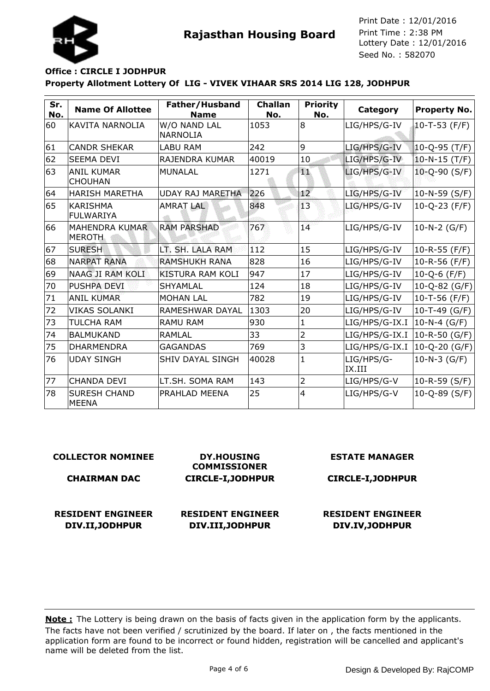



Seed No. : 582070 Print Date : 12/01/2016 Print Time : 2:38 PM

# **Property Allotment Lottery Of LIG - VIVEK VIHAAR SRS 2014 LIG 128, JODHPUR Office : CIRCLE I JODHPUR**

| Sr.<br>No. | <b>Name Of Allottee</b>                | Father/Husband<br><b>Name</b>   | <b>Challan</b><br>No. | <b>Priority</b><br>No. | Category              | <b>Property No.</b> |
|------------|----------------------------------------|---------------------------------|-----------------------|------------------------|-----------------------|---------------------|
| 60         | KAVITA NARNOLIA                        | W/O NAND LAL<br><b>NARNOLIA</b> | 1053                  | l8                     | LIG/HPS/G-IV          | $10-T-53$ (F/F)     |
| 61         | <b>CANDR SHEKAR</b>                    | <b>LABU RAM</b>                 | 242                   | l9                     | LIG/HPS/G-IV          | $10 - Q - 95$ (T/F) |
| 62         | <b>SEEMA DEVI</b>                      | RAJENDRA KUMAR                  | 40019                 | 10                     | LIG/HPS/G-IV          | $10 - N - 15$ (T/F) |
| 63         | <b>ANIL KUMAR</b><br><b>CHOUHAN</b>    | <b>MUNALAL</b>                  | 1271                  | T.                     | LIG/HPS/G-IV          | $10 - Q - 90$ (S/F) |
| 64         | <b>HARISH MARETHA</b>                  | UDAY RAJ MARETHA                | 226                   | 12 <sup>2</sup>        | LIG/HPS/G-IV          | $10 - N - 59$ (S/F) |
| 65         | <b>KARISHMA</b><br><b>FULWARIYA</b>    | <b>AMRAT LAL</b>                | 848                   | 13                     | LIG/HPS/G-IV          | $10-Q-23$ (F/F)     |
| 66         | <b>MAHENDRA KUMAR</b><br><b>MEROTH</b> | <b>RAM PARSHAD</b>              | 767                   | 14                     | LIG/HPS/G-IV          | $10-N-2$ (G/F)      |
| 67         | <b>SURESH</b>                          | LT. SH. LALA RAM                | <b>T<sub>12</sub></b> | 15                     | LIG/HPS/G-IV          | $10 - R - 55$ (F/F) |
| 68         | <b>NARPAT RANA</b>                     | <b>RAMSHUKH RANA</b>            | 828                   | 16                     | LIG/HPS/G-IV          | 10-R-56 (F/F)       |
| 69         | NAAG JI RAM KOLI                       | <b>KISTURA RAM KOLI</b>         | 947                   | 17                     | LIG/HPS/G-IV          | $10 - Q - 6$ (F/F)  |
| 70         | <b>PUSHPA DEVI</b>                     | <b>SHYAMLAL</b>                 | 124                   | 18                     | LIG/HPS/G-IV          | 10-Q-82 (G/F)       |
| 71         | ANIL KUMAR                             | <b>MOHAN LAL</b>                | 782                   | 19                     | LIG/HPS/G-IV          | 10-T-56 (F/F)       |
| 72         | <b>VIKAS SOLANKI</b>                   | RAMESHWAR DAYAL                 | 1303                  | 20                     | LIG/HPS/G-IV          | $10 - T - 49$ (G/F) |
| 73         | <b>TULCHA RAM</b>                      | <b>RAMU RAM</b>                 | 930                   | $\mathbf 1$            | LIG/HPS/G-IX.I        | 10-N-4 (G/F)        |
| 74         | <b>BALMUKAND</b>                       | RAMLAL                          | 33                    | $\overline{2}$         | LIG/HPS/G-IX.I        | 10-R-50 (G/F)       |
| 75         | <b>DHARMENDRA</b>                      | <b>GAGANDAS</b>                 | 769                   | 3                      | LIG/HPS/G-IX.I        | 10-Q-20 (G/F)       |
| 76         | <b>UDAY SINGH</b>                      | SHIV DAYAL SINGH                | 40028                 | $\mathbf{1}$           | LIG/HPS/G-<br> IX.III | $10-N-3$ (G/F)      |
| 77         | <b>CHANDA DEVI</b>                     | LT.SH. SOMA RAM                 | 143                   | $\overline{2}$         | LIG/HPS/G-V           | $10-R-59$ (S/F)     |
| 78         | <b>SURESH CHAND</b><br><b>MEENA</b>    | PRAHLAD MEENA                   | 25                    | 4                      | LIG/HPS/G-V           | $10 - Q - 89$ (S/F) |

#### **COLLECTOR NOMINEE**

#### **CHAIRMAN DAC**

**RESIDENT ENGINEER DIV.II,JODHPUR**

**DY.HOUSING COMMISSIONER CIRCLE-I,JODHPUR**

## **RESIDENT ENGINEER DIV.III,JODHPUR**

**ESTATE MANAGER**

#### **CIRCLE-I,JODHPUR**

## **RESIDENT ENGINEER DIV.IV,JODHPUR**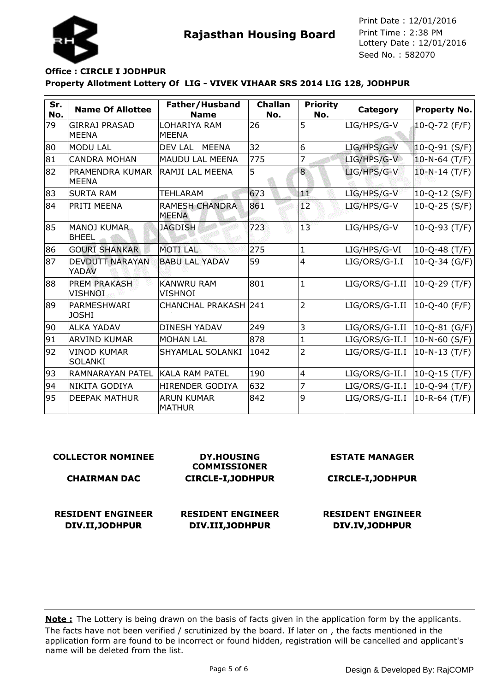

**Rajasthan Housing Board** Print Time : 2:38 PM<br>Lottery Date : 12/01/2016 Seed No. : 582070 Print Date : 12/01/2016 Print Time : 2:38 PM

# **Property Allotment Lottery Of LIG - VIVEK VIHAAR SRS 2014 LIG 128, JODHPUR Office : CIRCLE I JODHPUR**

| Sr.<br>No. | <b>Name Of Allottee</b>              | Father/Husband<br><b>Name</b>         | <b>Challan</b><br>No. | <b>Priority</b><br>No. | Category       | <b>Property No.</b> |
|------------|--------------------------------------|---------------------------------------|-----------------------|------------------------|----------------|---------------------|
| 79         | <b>GIRRAJ PRASAD</b><br><b>MEENA</b> | LOHARIYA RAM<br><b>MEENA</b>          | 26                    | 5                      | LIG/HPS/G-V    | 10-Q-72 (F/F)       |
| 80         | <b>MODU LAL</b>                      | DEV LAL<br>MEENA                      | 32                    | 6                      | LIG/HPS/G-V    | 10-Q-91 (S/F)       |
| 81         | <b>CANDRA MOHAN</b>                  | <b>MAUDU LAL MEENA</b>                | 775                   | 7                      | LIG/HPS/G-V    | $10 - N - 64$ (T/F) |
| 82         | PRAMENDRA KUMAR<br><b>MEENA</b>      | RAMJI LAL MEENA                       | 5                     | 8                      | LIG/HPS/G-V    | $10-N-14(T/F)$      |
| 83         | <b>SURTA RAM</b>                     | TEHLARAM                              | 673                   | мÆ                     | LIG/HPS/G-V    | 10-Q-12 (S/F)       |
| 84         | <b>PRITI MEENA</b>                   | <b>RAMESH CHANDRA</b><br><b>MEENA</b> | 861                   | 12                     | LIG/HPS/G-V    | $10-Q-25(S/F)$      |
| 85         | MANOJ KUMAR<br><b>BHEEL</b>          | <b>JAGDISH</b>                        | 723                   | 13                     | LIG/HPS/G-V    | $10-Q-93$ (T/F)     |
| 86         | <b>GOURI SHANKAR</b>                 | <b>MOTILAL</b>                        | 275                   | $\mathbf{1}$           | LIG/HPS/G-VI   | $10 - Q - 48$ (T/F) |
| 87         | <b>DEVDUTT NARAYAN</b><br>YADAV      | <b>BABU LAL YADAV</b>                 | 59                    | $\overline{4}$         | LIG/ORS/G-I.I  | 10-Q-34 (G/F)       |
| 88         | PREM PRAKASH<br><b>VISHNOI</b>       | <b>KANWRU RAM</b><br>VISHNOI          | 801                   | $\mathbf{1}$           | LIG/ORS/G-I.II | $10-Q-29$ (T/F)     |
| 89         | PARMESHWARI<br><b>JOSHI</b>          | <b>CHANCHAL PRAKASH 241</b>           |                       | $\overline{2}$         | LIG/ORS/G-I.II | $10 - Q - 40$ (F/F) |
| 90         | ALKA YADAV                           | <b>DINESH YADAV</b>                   | 249                   | 3                      | LIG/ORS/G-I.II | 10-Q-81 (G/F)       |
| 91         | ARVIND KUMAR                         | <b>MOHAN LAL</b>                      | 878                   | 1                      | LIG/ORS/G-II.I | 10-N-60 (S/F)       |
| 92         | <b>VINOD KUMAR</b><br><b>SOLANKI</b> | SHYAMLAL SOLANKI                      | 1042                  | $\overline{2}$         | LIG/ORS/G-II.I | $10 - N - 13$ (T/F) |
| 93         | <b>RAMNARAYAN PATEL</b>              | KALA RAM PATEL                        | 190                   | $\overline{4}$         | LIG/ORS/G-II.I | $10 - Q - 15$ (T/F) |
| 94         | NIKITA GODIYA                        | <b>HIRENDER GODIYA</b>                | 632                   | $\overline{7}$         | LIG/ORS/G-II.I | $10 - Q - 94$ (T/F) |
| 95         | <b>DEEPAK MATHUR</b>                 | <b>ARUN KUMAR</b><br><b>MATHUR</b>    | 842                   | 9                      | LIG/ORS/G-II.I | $10 - R - 64$ (T/F) |

#### **COLLECTOR NOMINEE**

#### **CHAIRMAN DAC**

**CIRCLE-I,JODHPUR**

**RESIDENT ENGINEER DIV.II,JODHPUR**

**RESIDENT ENGINEER DIV.III,JODHPUR**

**DY.HOUSING COMMISSIONER** **ESTATE MANAGER**

**CIRCLE-I,JODHPUR**

**RESIDENT ENGINEER DIV.IV,JODHPUR**